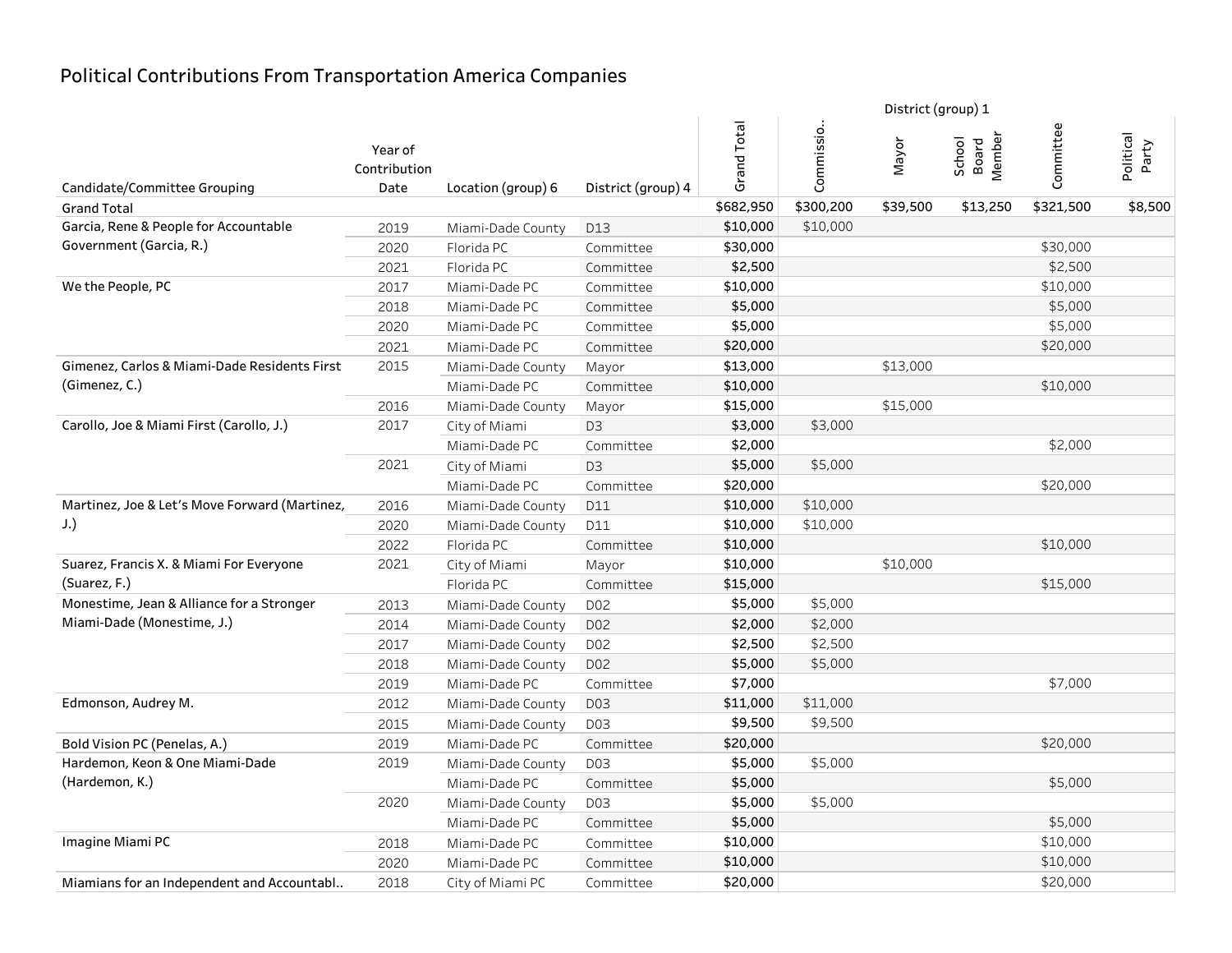|                                               |                                 |                    |                    |             |            | District (group) 1 |                           |           |                    |  |
|-----------------------------------------------|---------------------------------|--------------------|--------------------|-------------|------------|--------------------|---------------------------|-----------|--------------------|--|
| Candidate/Committee Grouping                  | Year of<br>Contribution<br>Date | Location (group) 6 | District (group) 4 | Grand Total | Commissio. | Mayor              | School<br>Board<br>Member | Committee | Political<br>Party |  |
| <b>Grand Total</b>                            |                                 |                    |                    | \$682,950   | \$300,200  | \$39,500           | \$13,250                  | \$321,500 | \$8,500            |  |
| Garcia, Rene & People for Accountable         | 2019                            | Miami-Dade County  | D13                | \$10,000    | \$10,000   |                    |                           |           |                    |  |
| Government (Garcia, R.)                       | 2020                            | Florida PC         | Committee          | \$30,000    |            |                    |                           | \$30,000  |                    |  |
|                                               | 2021                            | Florida PC         | Committee          | \$2,500     |            |                    |                           | \$2,500   |                    |  |
| We the People, PC                             | 2017                            | Miami-Dade PC      | Committee          | \$10,000    |            |                    |                           | \$10,000  |                    |  |
|                                               | 2018                            | Miami-Dade PC      | Committee          | \$5,000     |            |                    |                           | \$5,000   |                    |  |
|                                               | 2020                            | Miami-Dade PC      | Committee          | \$5,000     |            |                    |                           | \$5,000   |                    |  |
|                                               | 2021                            | Miami-Dade PC      | Committee          | \$20,000    |            |                    |                           | \$20,000  |                    |  |
| Gimenez, Carlos & Miami-Dade Residents First  | 2015                            | Miami-Dade County  | Mayor              | \$13,000    |            | \$13,000           |                           |           |                    |  |
| (Gimenez, C.)                                 |                                 | Miami-Dade PC      | Committee          | \$10,000    |            |                    |                           | \$10,000  |                    |  |
|                                               | 2016                            | Miami-Dade County  | Mayor              | \$15,000    |            | \$15,000           |                           |           |                    |  |
| Carollo, Joe & Miami First (Carollo, J.)      | 2017                            | City of Miami      | D <sub>3</sub>     | \$3,000     | \$3,000    |                    |                           |           |                    |  |
|                                               |                                 | Miami-Dade PC      | Committee          | \$2,000     |            |                    |                           | \$2,000   |                    |  |
|                                               | 2021                            | City of Miami      | D <sub>3</sub>     | \$5,000     | \$5,000    |                    |                           |           |                    |  |
|                                               |                                 | Miami-Dade PC      | Committee          | \$20,000    |            |                    |                           | \$20,000  |                    |  |
| Martinez, Joe & Let's Move Forward (Martinez, | 2016                            | Miami-Dade County  | D11                | \$10,000    | \$10,000   |                    |                           |           |                    |  |
| J.                                            | 2020                            | Miami-Dade County  | D11                | \$10,000    | \$10,000   |                    |                           |           |                    |  |
|                                               | 2022                            | Florida PC         | Committee          | \$10,000    |            |                    |                           | \$10,000  |                    |  |
| Suarez, Francis X. & Miami For Everyone       | 2021                            | City of Miami      | Mayor              | \$10,000    |            | \$10,000           |                           |           |                    |  |
| (Suarez, F.)                                  |                                 | Florida PC         | Committee          | \$15,000    |            |                    |                           | \$15,000  |                    |  |
| Monestime, Jean & Alliance for a Stronger     | 2013                            | Miami-Dade County  | D <sub>02</sub>    | \$5,000     | \$5,000    |                    |                           |           |                    |  |
| Miami-Dade (Monestime, J.)                    | 2014                            | Miami-Dade County  | D <sub>02</sub>    | \$2,000     | \$2,000    |                    |                           |           |                    |  |
|                                               | 2017                            | Miami-Dade County  | D <sub>02</sub>    | \$2,500     | \$2,500    |                    |                           |           |                    |  |
|                                               | 2018                            | Miami-Dade County  | D <sub>02</sub>    | \$5,000     | \$5,000    |                    |                           |           |                    |  |
|                                               | 2019                            | Miami-Dade PC      | Committee          | \$7,000     |            |                    |                           | \$7,000   |                    |  |
| Edmonson, Audrey M.                           | 2012                            | Miami-Dade County  | D03                | \$11,000    | \$11,000   |                    |                           |           |                    |  |
|                                               | 2015                            | Miami-Dade County  | D03                | \$9,500     | \$9,500    |                    |                           |           |                    |  |
| Bold Vision PC (Penelas, A.)                  | 2019                            | Miami-Dade PC      | Committee          | \$20,000    |            |                    |                           | \$20,000  |                    |  |
| Hardemon, Keon & One Miami-Dade               | 2019                            | Miami-Dade County  | D03                | \$5,000     | \$5,000    |                    |                           |           |                    |  |
| (Hardemon, K.)                                |                                 | Miami-Dade PC      | Committee          | \$5,000     |            |                    |                           | \$5,000   |                    |  |
|                                               | 2020                            | Miami-Dade County  | D03                | \$5,000     | \$5,000    |                    |                           |           |                    |  |
|                                               |                                 | Miami-Dade PC      | Committee          | \$5,000     |            |                    |                           | \$5,000   |                    |  |
| Imagine Miami PC                              | 2018                            | Miami-Dade PC      | Committee          | \$10,000    |            |                    |                           | \$10,000  |                    |  |
|                                               | 2020                            | Miami-Dade PC      | Committee          | \$10,000    |            |                    |                           | \$10,000  |                    |  |
| Miamians for an Independent and Accountabl    | 2018                            | City of Miami PC   | Committee          | \$20,000    |            |                    |                           | \$20,000  |                    |  |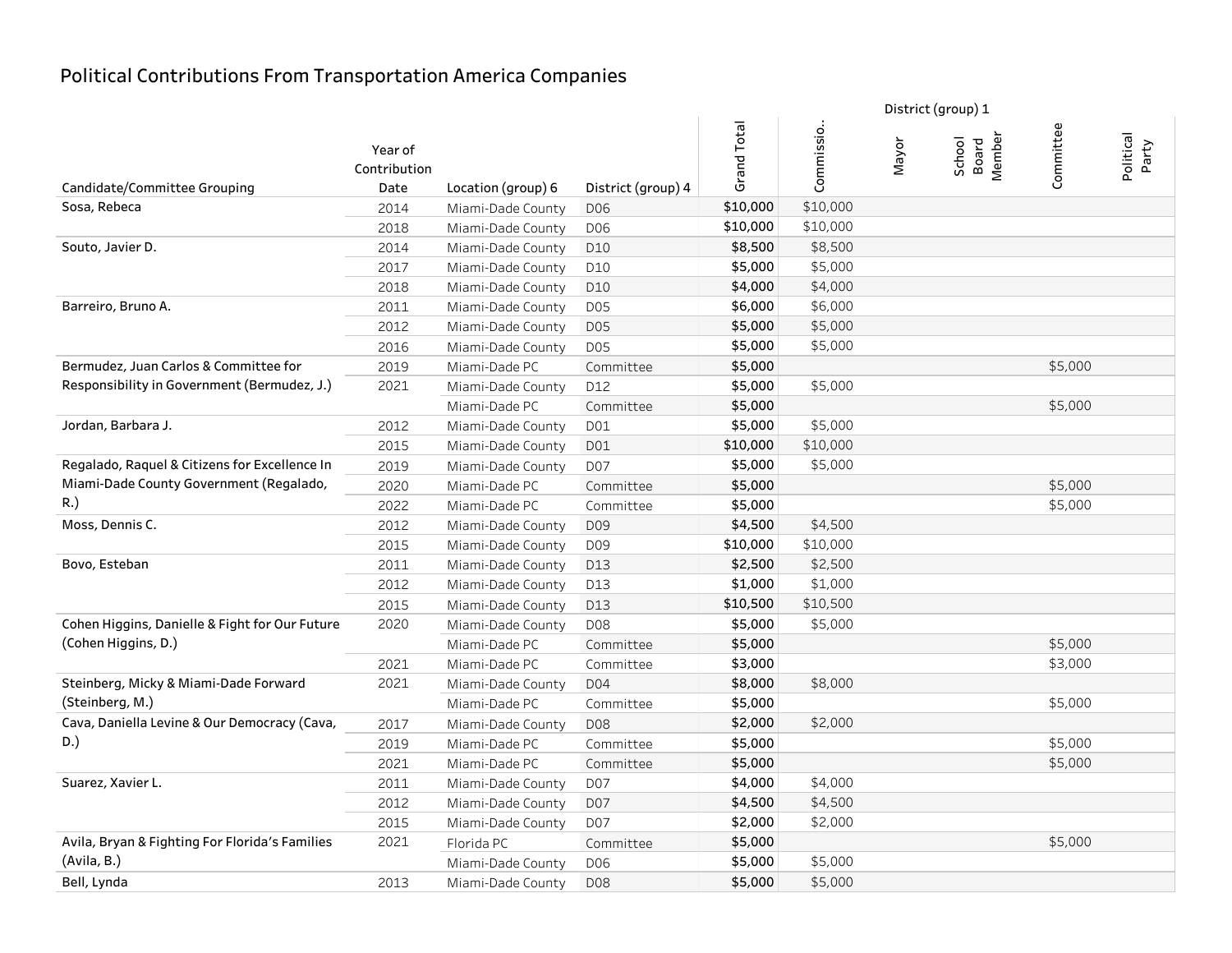|                                                |                         |                    |                    |             | District (group) 1 |       |                           |           |                    |
|------------------------------------------------|-------------------------|--------------------|--------------------|-------------|--------------------|-------|---------------------------|-----------|--------------------|
|                                                | Year of<br>Contribution |                    |                    | Grand Total | Commissio.         | Nayor | Member<br>School<br>Board | Committee | Political<br>Party |
| Candidate/Committee Grouping                   | Date                    | Location (group) 6 | District (group) 4 |             |                    |       |                           |           |                    |
| Sosa, Rebeca                                   | 2014                    | Miami-Dade County  | D <sub>06</sub>    | \$10,000    | \$10,000           |       |                           |           |                    |
|                                                | 2018                    | Miami-Dade County  | D06                | \$10,000    | \$10,000           |       |                           |           |                    |
| Souto, Javier D.                               | 2014                    | Miami-Dade County  | D10                | \$8,500     | \$8,500            |       |                           |           |                    |
|                                                | 2017                    | Miami-Dade County  | D10                | \$5,000     | \$5,000            |       |                           |           |                    |
|                                                | 2018                    | Miami-Dade County  | D10                | \$4,000     | \$4,000            |       |                           |           |                    |
| Barreiro, Bruno A.                             | 2011                    | Miami-Dade County  | <b>D05</b>         | \$6,000     | \$6,000            |       |                           |           |                    |
|                                                | 2012                    | Miami-Dade County  | <b>D05</b>         | \$5,000     | \$5,000            |       |                           |           |                    |
|                                                | 2016                    | Miami-Dade County  | <b>D05</b>         | \$5,000     | \$5,000            |       |                           |           |                    |
| Bermudez, Juan Carlos & Committee for          | 2019                    | Miami-Dade PC      | Committee          | \$5,000     |                    |       |                           | \$5,000   |                    |
| Responsibility in Government (Bermudez, J.)    | 2021                    | Miami-Dade County  | D12                | \$5,000     | \$5,000            |       |                           |           |                    |
|                                                |                         | Miami-Dade PC      | Committee          | \$5,000     |                    |       |                           | \$5,000   |                    |
| Jordan, Barbara J.                             | 2012                    | Miami-Dade County  | D01                | \$5,000     | \$5,000            |       |                           |           |                    |
|                                                | 2015                    | Miami-Dade County  | D01                | \$10,000    | \$10,000           |       |                           |           |                    |
| Regalado, Raquel & Citizens for Excellence In  | 2019                    | Miami-Dade County  | D07                | \$5,000     | \$5,000            |       |                           |           |                    |
| Miami-Dade County Government (Regalado,        | 2020                    | Miami-Dade PC      | Committee          | \$5,000     |                    |       |                           | \$5,000   |                    |
| R.)                                            | 2022                    | Miami-Dade PC      | Committee          | \$5,000     |                    |       |                           | \$5,000   |                    |
| Moss, Dennis C.                                | 2012                    | Miami-Dade County  | D09                | \$4,500     | \$4,500            |       |                           |           |                    |
|                                                | 2015                    | Miami-Dade County  | D <sub>09</sub>    | \$10,000    | \$10,000           |       |                           |           |                    |
| Bovo, Esteban                                  | 2011                    | Miami-Dade County  | D13                | \$2,500     | \$2,500            |       |                           |           |                    |
|                                                | 2012                    | Miami-Dade County  | D13                | \$1,000     | \$1,000            |       |                           |           |                    |
|                                                | 2015                    | Miami-Dade County  | D13                | \$10,500    | \$10,500           |       |                           |           |                    |
| Cohen Higgins, Danielle & Fight for Our Future | 2020                    | Miami-Dade County  | D08                | \$5,000     | \$5,000            |       |                           |           |                    |
| (Cohen Higgins, D.)                            |                         | Miami-Dade PC      | Committee          | \$5,000     |                    |       |                           | \$5,000   |                    |
|                                                | 2021                    | Miami-Dade PC      | Committee          | \$3,000     |                    |       |                           | \$3,000   |                    |
| Steinberg, Micky & Miami-Dade Forward          | 2021                    | Miami-Dade County  | D04                | \$8,000     | \$8,000            |       |                           |           |                    |
| (Steinberg, M.)                                |                         | Miami-Dade PC      | Committee          | \$5,000     |                    |       |                           | \$5,000   |                    |
| Cava, Daniella Levine & Our Democracy (Cava,   | 2017                    | Miami-Dade County  | D08                | \$2,000     | \$2,000            |       |                           |           |                    |
| D.)                                            | 2019                    | Miami-Dade PC      | Committee          | \$5,000     |                    |       |                           | \$5,000   |                    |
|                                                | 2021                    | Miami-Dade PC      | Committee          | \$5,000     |                    |       |                           | \$5,000   |                    |
| Suarez, Xavier L.                              | 2011                    | Miami-Dade County  | D07                | \$4,000     | \$4,000            |       |                           |           |                    |
|                                                | 2012                    | Miami-Dade County  | D07                | \$4,500     | \$4,500            |       |                           |           |                    |
|                                                | 2015                    | Miami-Dade County  | D07                | \$2,000     | \$2,000            |       |                           |           |                    |
| Avila, Bryan & Fighting For Florida's Families | 2021                    | Florida PC         | Committee          | \$5,000     |                    |       |                           | \$5,000   |                    |
| (Avila, B.)                                    |                         | Miami-Dade County  | D <sub>06</sub>    | \$5,000     | \$5,000            |       |                           |           |                    |
| Bell, Lynda                                    | 2013                    | Miami-Dade County  | D08                | \$5,000     | \$5,000            |       |                           |           |                    |
|                                                |                         |                    |                    |             |                    |       |                           |           |                    |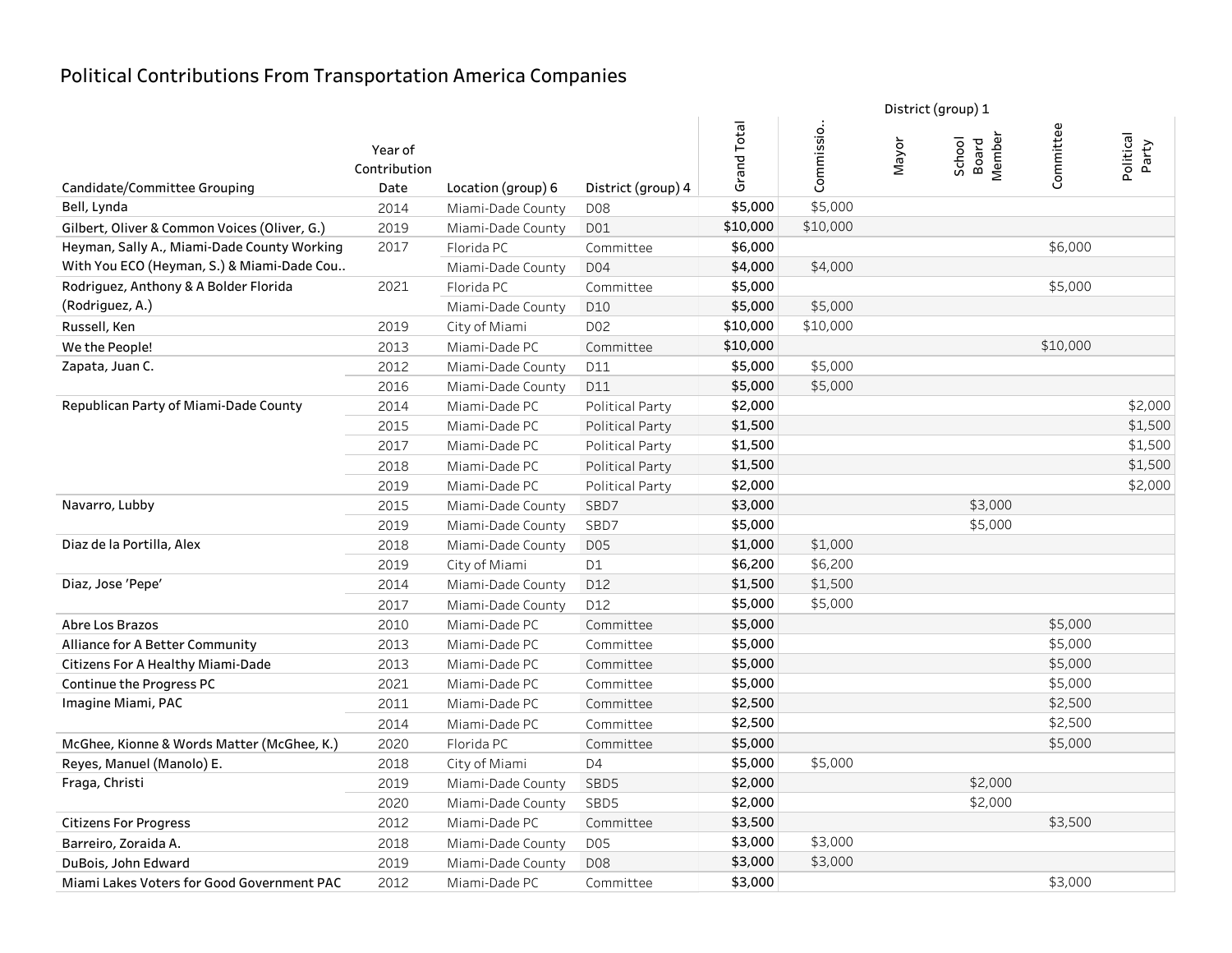|                                              |                         |                    |                        |             |            | District (group) 1 |                           |           |                    |
|----------------------------------------------|-------------------------|--------------------|------------------------|-------------|------------|--------------------|---------------------------|-----------|--------------------|
|                                              | Year of<br>Contribution |                    |                        | Grand Total | Commissio. | Mayor              | School<br>Board<br>Member | Committee | Political<br>Party |
| Candidate/Committee Grouping                 | Date                    | Location (group) 6 | District (group) 4     |             |            |                    |                           |           |                    |
| Bell, Lynda                                  | 2014                    | Miami-Dade County  | D <sub>08</sub>        | \$5,000     | \$5,000    |                    |                           |           |                    |
| Gilbert, Oliver & Common Voices (Oliver, G.) | 2019                    | Miami-Dade County  | D01                    | \$10,000    | \$10,000   |                    |                           |           |                    |
| Heyman, Sally A., Miami-Dade County Working  | 2017                    | Florida PC         | Committee              | \$6,000     |            |                    |                           | \$6,000   |                    |
| With You ECO (Heyman, S.) & Miami-Dade Cou   |                         | Miami-Dade County  | D04                    | \$4,000     | \$4,000    |                    |                           |           |                    |
| Rodriguez, Anthony & A Bolder Florida        | 2021                    | Florida PC         | Committee              | \$5,000     |            |                    |                           | \$5,000   |                    |
| (Rodriguez, A.)                              |                         | Miami-Dade County  | D10                    | \$5,000     | \$5,000    |                    |                           |           |                    |
| Russell, Ken                                 | 2019                    | City of Miami      | D <sub>02</sub>        | \$10,000    | \$10,000   |                    |                           |           |                    |
| We the People!                               | 2013                    | Miami-Dade PC      | Committee              | \$10,000    |            |                    |                           | \$10,000  |                    |
| Zapata, Juan C.                              | 2012                    | Miami-Dade County  | D11                    | \$5,000     | \$5,000    |                    |                           |           |                    |
|                                              | 2016                    | Miami-Dade County  | D11                    | \$5,000     | \$5,000    |                    |                           |           |                    |
| Republican Party of Miami-Dade County        | 2014                    | Miami-Dade PC      | Political Party        | \$2,000     |            |                    |                           |           | \$2,000            |
|                                              | 2015                    | Miami-Dade PC      | Political Party        | \$1,500     |            |                    |                           |           | \$1,500            |
|                                              | 2017                    | Miami-Dade PC      | Political Party        | \$1,500     |            |                    |                           |           | \$1,500            |
|                                              | 2018                    | Miami-Dade PC      | Political Party        | \$1,500     |            |                    |                           |           | \$1,500            |
|                                              | 2019                    | Miami-Dade PC      | <b>Political Party</b> | \$2,000     |            |                    |                           |           | \$2,000            |
| Navarro, Lubby                               | 2015                    | Miami-Dade County  | SBD7                   | \$3,000     |            |                    | \$3,000                   |           |                    |
|                                              | 2019                    | Miami-Dade County  | SBD7                   | \$5,000     |            |                    | \$5,000                   |           |                    |
| Diaz de la Portilla, Alex                    | 2018                    | Miami-Dade County  | D05                    | \$1,000     | \$1,000    |                    |                           |           |                    |
|                                              | 2019                    | City of Miami      | D1                     | \$6,200     | \$6,200    |                    |                           |           |                    |
| Diaz, Jose 'Pepe'                            | 2014                    | Miami-Dade County  | D12                    | \$1,500     | \$1,500    |                    |                           |           |                    |
|                                              | 2017                    | Miami-Dade County  | D12                    | \$5,000     | \$5,000    |                    |                           |           |                    |
| <b>Abre Los Brazos</b>                       | 2010                    | Miami-Dade PC      | Committee              | \$5,000     |            |                    |                           | \$5,000   |                    |
| Alliance for A Better Community              | 2013                    | Miami-Dade PC      | Committee              | \$5,000     |            |                    |                           | \$5,000   |                    |
| Citizens For A Healthy Miami-Dade            | 2013                    | Miami-Dade PC      | Committee              | \$5,000     |            |                    |                           | \$5,000   |                    |
| Continue the Progress PC                     | 2021                    | Miami-Dade PC      | Committee              | \$5,000     |            |                    |                           | \$5,000   |                    |
| Imagine Miami, PAC                           | 2011                    | Miami-Dade PC      | Committee              | \$2,500     |            |                    |                           | \$2,500   |                    |
|                                              | 2014                    | Miami-Dade PC      | Committee              | \$2,500     |            |                    |                           | \$2,500   |                    |
| McGhee, Kionne & Words Matter (McGhee, K.)   | 2020                    | Florida PC         | Committee              | \$5,000     |            |                    |                           | \$5,000   |                    |
| Reyes, Manuel (Manolo) E.                    | 2018                    | City of Miami      | D <sub>4</sub>         | \$5,000     | \$5,000    |                    |                           |           |                    |
| Fraga, Christi                               | 2019                    | Miami-Dade County  | SBD5                   | \$2,000     |            |                    | \$2,000                   |           |                    |
|                                              | 2020                    | Miami-Dade County  | SBD5                   | \$2,000     |            |                    | \$2,000                   |           |                    |
| <b>Citizens For Progress</b>                 | 2012                    | Miami-Dade PC      | Committee              | \$3,500     |            |                    |                           | \$3,500   |                    |
| Barreiro, Zoraida A.                         | 2018                    | Miami-Dade County  | D05                    | \$3,000     | \$3,000    |                    |                           |           |                    |
| DuBois, John Edward                          | 2019                    | Miami-Dade County  | D08                    | \$3,000     | \$3,000    |                    |                           |           |                    |
| Miami Lakes Voters for Good Government PAC   | 2012                    | Miami-Dade PC      | Committee              | \$3,000     |            |                    |                           | \$3,000   |                    |